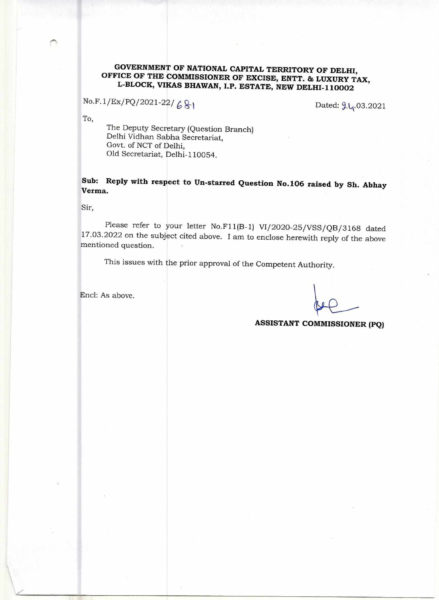## **GOVERNMENT OF NATIONAL CAPITAL TERRITORY OF DELHI, OFFICE OF THE COMMISSIONER OF EXCISE, ENTT. & LUXURY TAX, L-BLOCK, VIKAS BHAWAN, I.P. ESTATE, NEW DELHI-110002**

 $No.F.1/Ex/PO/2021-22/681$  Dated:  $2l_1.03.2021$ 

To,

The Deputy Secretary (Question Branch) Delhi Vidhan Sabha Secretariat, Govt. of NCT of Delhi, Old Secretariat, Delhi-110054.

**Sub: Reply with respect to Un-starred Question No.106 raised by Sh. Abhay Verma.** 

Sir,

Please refer to your letter No.F11(B-1) V1/2020-25/VSS/Q8/3168 dated 17.03.2022 on the subject cited above. I am to enclose herewith reply of the above mentioned question.

This issues with the prior approval of the Competent Authority.

Encl: As above.

**ASSISTANT COMMISSIONER (PQ)**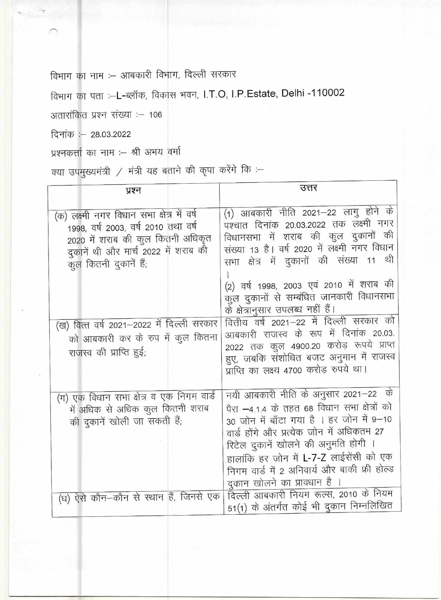विभाग का नाम :- आबकारी विभाग, दिल्ली सरकार

विभाग का पता :-L-ब्लॉक, विकास भवन, I.T.O, I.P.Estate, Delhi -110002

अतारांकित प्रश्न संख्या :– 106

दिनांक : - 28.03.2022

प्रश्नकर्त्ता का नाम :– श्री अभय वर्मा

क्या उपमुख्यमंत्री / मंत्री यह बताने की कृपा करेंगे कि :-

| प्रश्न                                                                                                                                                                                                                                                                                                | उत्तर                                                                                                                                                                                                                                                                                                                                                                                                                                                                                                                                                                  |
|-------------------------------------------------------------------------------------------------------------------------------------------------------------------------------------------------------------------------------------------------------------------------------------------------------|------------------------------------------------------------------------------------------------------------------------------------------------------------------------------------------------------------------------------------------------------------------------------------------------------------------------------------------------------------------------------------------------------------------------------------------------------------------------------------------------------------------------------------------------------------------------|
| (क) लक्ष्मी नगर विधान सभा क्षेत्र में वर्ष<br>1998, वर्ष 2003, वर्ष 2010 तथा वर्ष<br>2020 में शराब की कुल कितनी अधिकृत<br>दुकानें थी और मार्च 2022 में शराब की<br>कुल कितनी दुकानें हैं;<br>(ख) वित्त वर्ष 2021–2022 में दिल्ली सरकार<br>को आबकारी कर के रुप में कुल कितना<br>राजस्व की प्राप्ति हुई; | (1) आबकारी नीति 2021–22 लागु होने के<br>पश्चात दिनांक 20.03.2022 तक लक्ष्मी नगर<br>विधानसभा में शराब की कुल दुकानों की<br>संख्या 13 है। वर्ष 2020 में लक्ष्मी नगर विधान<br>सभा क्षेत्र में दुकानों की संख्या 11 थी<br>(2) वर्ष 1998, 2003 एवं 2010 में शराब की<br>कुल दुकानों से सम्बंधित जानकारी विधानसभा<br>के क्षेत्रानुसार उपलब्ध नहीं हैं।<br>वित्तीय वर्ष 2021–22 में दिल्ली सरकार को<br>आबकारी राजस्व के रूप में दिनांक 20.03.<br>2022 तक कुल 4900.20 करोड़ रूपये प्राप्त<br>हुए, जबकि संशोधित बजट अनुमान में राजस्व<br>प्राप्ति का लक्ष्य 4700 करोड़ रुपये था। |
| (ग) एक विधान सभा क्षेत्र व एक निगम वार्ड<br>में अधिक से अधिक कुल कितनी शराब<br>की दुकानें खोली जा सकती हैं;<br>(घ) ऐसे कौन–कौन से स्थान हैं, जिनसे एक                                                                                                                                                 | नयी आबकारी नीति के अनुसार 2021–22 के<br>पैरा –4.1.4 के तहत 68 विधान सभा क्षेत्रों को<br>30 जोन में बाँटा गया है । हर जोन में 9-10<br>वार्ड होंगे और प्रत्येक जोन में अधिकतम 27<br>रिटेल दुकानें खोलने की अनुमति होगी ।<br>हालांकि हर जोन में L-7-Z लाईसेंसी को एक<br>निगम वार्ड में 2 अनिवार्य और बाकी फ्री होल्ड<br>दुकान खोलने का प्रावधान है ।<br>दिल्ली आबकारी नियम रूल्स, 2010 के नियम<br>51(1) के अंतर्गत कोई भी दुकान निम्नलिखित                                                                                                                                |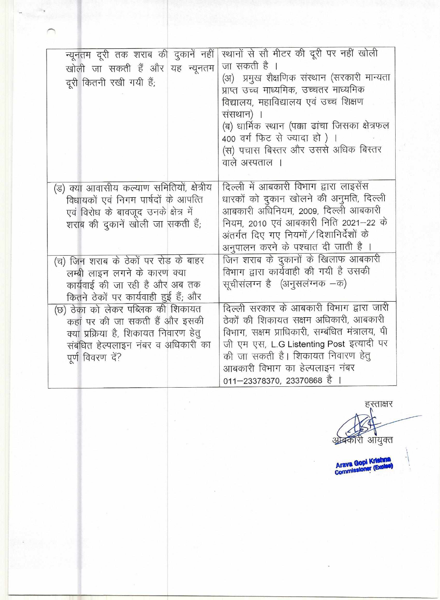| न्यूनतम दूरी तक शराब की दुकानें नहीं<br>खोली जा सकती हैं और यह न्यूनतम<br>दूरी कितनी रखी गयी हैं;                                                                       | रथानों से सौ मीटर की दूरी पर नहीं खोली<br>जा सकती है ।<br>(अ) प्रमुख शैक्षणिक संस्थान (सरकारी मान्यता<br>प्राप्त उच्च माध्यमिक, उच्चतर माध्यमिक<br>विद्यालय, महाविद्यालय एवं उच्च शिक्षण<br>संसथान) ।<br>(ब) धार्मिक स्थान (पक्का ढांचा जिसका क्षेत्रफल<br>400 वर्ग फिट से ज्यादा हो) ।<br>(स) पचास बिस्तर और उससे अधिक बिस्तर<br>वाले अस्पताल । |
|-------------------------------------------------------------------------------------------------------------------------------------------------------------------------|--------------------------------------------------------------------------------------------------------------------------------------------------------------------------------------------------------------------------------------------------------------------------------------------------------------------------------------------------|
| (ड) क्या आवासीय कल्याण समितियों, क्षेत्रीय<br>विधायकों एवं निगम पार्षदों के आपत्ति<br>एवं विरोध के बावजूद उनके क्षेत्र में<br>शराब की दुकानें खोली जा सकती हैं;         | दिल्ली में आबकारी विभाग द्वारा लाइसेंस<br>धारकों को दुकान खोलने की अनुमति, दिल्ली<br>आबकारी अधिनियम, 2009, दिल्ली आबकारी<br>नियम, 2010 एवं आबकारी निति 2021–22 के<br>अंतर्गत दिए गए नियमों / दिशानिर्देशों के<br>अनुपालन करने के पश्चात दी जाती है ।                                                                                             |
| (च) जिन शराब के ठेकों पर रोड़ के बाहर<br>लम्बी लाइन लगने के कारण क्या<br>कार्यवाई की जा रही है और अब तक<br>कितने ठेकों पर कार्यवाही हुई हैं; और                         | जिन शराब के दुकानों के खिलाफ आबकारी<br>विभाग द्वारा कार्यवाही की गयी है उसकी<br>सूचीसंलग्न है (अनुसलंग्नक -क)                                                                                                                                                                                                                                    |
| (छ) ठेका को लेकर पब्लिक की शिकायत<br>कहां पर की जा सकती हैं और इसकी<br>क्या प्रक्रिया है, शिकायत निवारण हेतु<br>संबंधित हेल्पलाइन नंबर व अधिकारी का<br>पूर्ण विवरण दें? | दिल्ली सरकार के आबकारी विभाग द्वारा जारी<br>ठेकों की शिकायत सक्षम अधिकारी, आबकारी<br>विभाग, सक्षम प्राधिकारी, सम्बंधित मंत्रालय, पी<br>जी एम एस, L.G Listenting Post इत्यादी पर<br>की जा सकती है। शिकायत निवारण हेतु<br>आबकारी विभाग का हेल्पलाइन नंबर<br>011-23378370, 23370868 है                                                              |

हरताक्षर<br>N अक्कॉरी आयुक्त

Arava Gopi Krishna<br>Commissioner (Exclue)